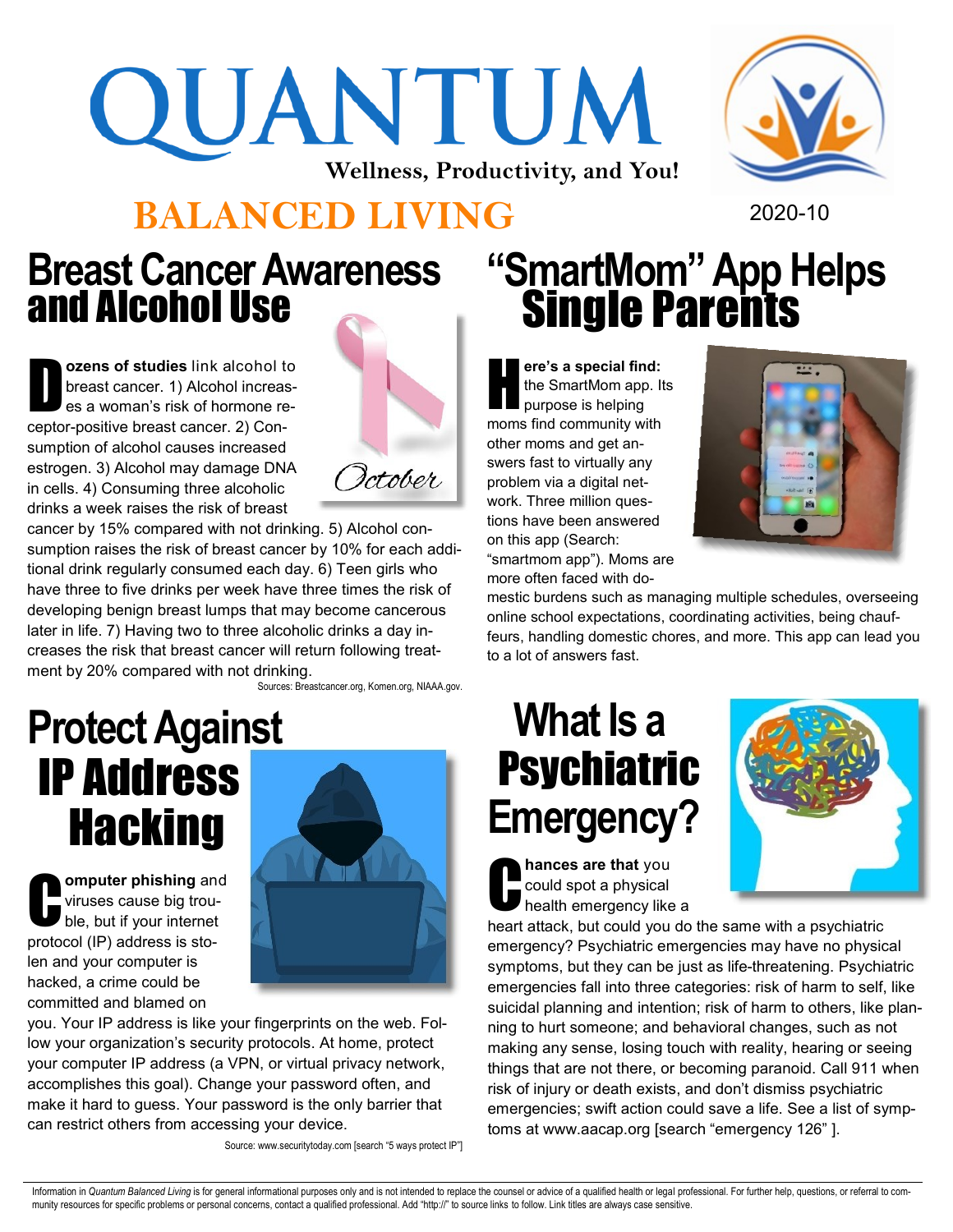# QUANTUM **Wellness, Productivity, and You!**



#### **BALANCED LIVING** 2020-10

#### **Breast Cancer Awareness**  and Alcohol Use

 $\int_{0}^{\infty}$ **ozens of studies** link alcohol to breast cancer. 1) Alcohol increases a woman's risk of hormone receptor-positive breast cancer. 2) Consumption of alcohol causes increased estrogen. 3) Alcohol may damage DNA in cells. 4) Consuming three alcoholic drinks a week raises the risk of breast



cancer by 15% compared with not drinking. 5) Alcohol consumption raises the risk of breast cancer by 10% for each additional drink regularly consumed each day. 6) Teen girls who have three to five drinks per week have three times the risk of developing benign breast lumps that may become cancerous later in life. 7) Having two to three alcoholic drinks a day increases the risk that breast cancer will return following treatment by 20% compared with not drinking.

Sources: Breastcancer.org, Komen.org, NIAAA.gov.

# **Protect Against**  IP Address **Hacking**

Control of the Control of the Control of the Control of the Control of the Control of the Control of the Control of the Control of the Control of the Control of the Control of the Control of the Control of the Control of t **omputer phishing** and viruses cause big trouble, but if your internet protocol (IP) address is stolen and your computer is hacked, a crime could be committed and blamed on



you. Your IP address is like your fingerprints on the web. Follow your organization's security protocols. At home, protect your computer IP address (a VPN, or virtual privacy network, accomplishes this goal). Change your password often, and make it hard to guess. Your password is the only barrier that can restrict others from accessing your device.

Source: www.securitytoday.com [search "5 ways protect IP"]

### **"SmartMom" App Helps**  Single Parents

H **ere's a special find:**  the SmartMom app. Its purpose is helping moms find community with other moms and get answers fast to virtually any problem via a digital network. Three million questions have been answered on this app (Search: "smartmom app"). Moms are more often faced with do-



mestic burdens such as managing multiple schedules, overseeing online school expectations, coordinating activities, being chauffeurs, handling domestic chores, and more. This app can lead you to a lot of answers fast.

# **What Is a Psychiatric Emergency?**

C **hances are that** you could spot a physical health emergency like a



heart attack, but could you do the same with a psychiatric emergency? Psychiatric emergencies may have no physical symptoms, but they can be just as life-threatening. Psychiatric emergencies fall into three categories: risk of harm to self, like suicidal planning and intention; risk of harm to others, like planning to hurt someone; and behavioral changes, such as not making any sense, losing touch with reality, hearing or seeing things that are not there, or becoming paranoid. Call 911 when risk of injury or death exists, and don't dismiss psychiatric emergencies; swift action could save a life. See a list of symptoms at www.aacap.org [search "emergency 126" ].

Information in Quantum Balanced Living is for general informational purposes only and is not intended to replace the counsel or advice of a qualified health or legal professional. For further help, questions, or referral t munity resources for specific problems or personal concerns, contact a qualified professional. Add "http://" to source links to follow. Link titles are always case sensitive.